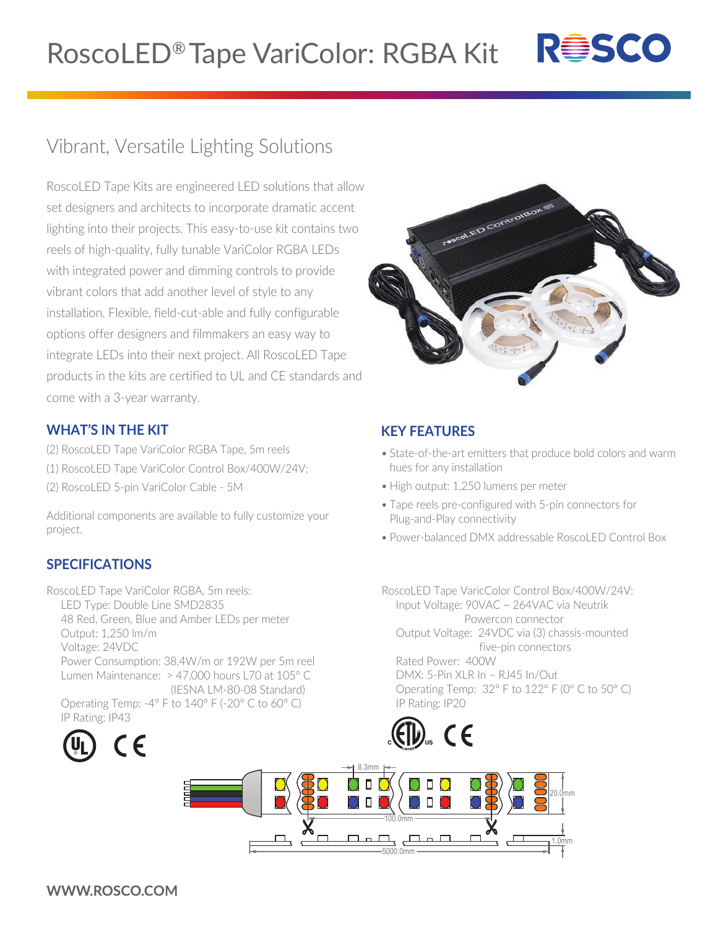

## Vibrant, Versatile Lighting Solutions

RoscoLED Tape Kits are engineered LED solutions that allow set designers and architects to incorporate dramatic accent lighting into their projects. This easy-to-use kit contains two reels of high-quality, fully tunable VariColor RGBA LEDs with integrated power and dimming controls to provide vibrant colors that add another level of style to any installation. Flexible, field-cut-able and fully configurable options offer designers and filmmakers an easy way to integrate LEDs into their next project. All RoscoLED Tape products in the kits are certified to UL and CE standards and come with a 3-year warranty.



## **WHAT'S IN THE KIT**

- (2) RoscoLED Tape VariColor RGBA Tape, 5m reels
- (1) RoscoLED Tape VariColor Control Box/400W/24V:
- (2) RoscoLED 5-pin VariColor Cable 5M

Additional components are available to fully customize your project.

## **SPECIFICATIONS**

RoscoLED Tape VariColor RGBA, 5m reels: LED Type: Double Line SMD2835 48 Red, Green, Blue and Amber LEDs per meter Output: 1,250 lm/m Voltage: 24VDC Power Consumption: 38.4W/m or 192W per 5m reel Lumen Maintenance: > 47,000 hours L70 at 105° C (IESNA LM-80-08 Standard) Operating Temp: -4° F to 140° F (-20° C to 60° C)



## **KEY FEATURES**

- State-of-the-art emitters that produce bold colors and warm hues for any installation
- High output: 1,250 lumens per meter
- Tape reels pre-configured with 5-pin connectors for Plug-and-Play connectivity
- Power-balanced DMX addressable RoscoLED Control Box

RoscoLED Tape VaricColor Control Box/400W/24V: Input Voltage: 90VAC ~ 264VAC via Neutrik Powercon connector Output Voltage: 24VDC via (3) chassis-mounted five-pin connectors Rated Power: 400W DMX: 5-Pin XLR In – RJ45 In/Out Operating Temp: 32° F to 122° F (0° C to 50° C) IP Rating: IP20